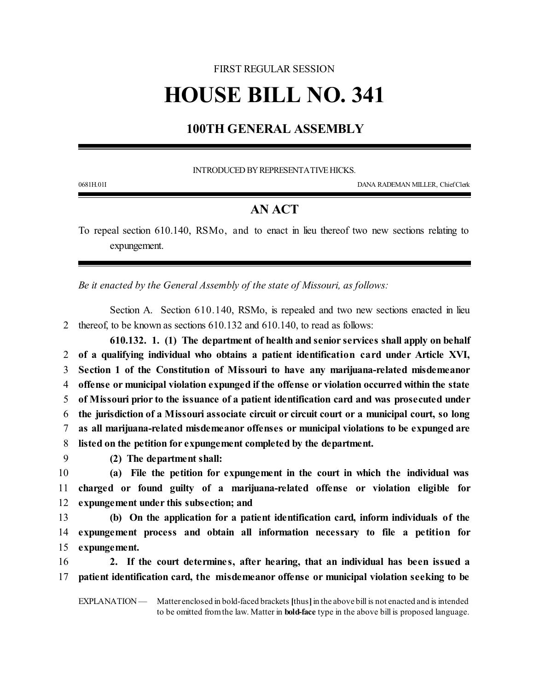## FIRST REGULAR SESSION **HOUSE BILL NO. 341**

## **100TH GENERAL ASSEMBLY**

INTRODUCED BY REPRESENTATIVE HICKS.

0681H.01I DANA RADEMAN MILLER, ChiefClerk

## **AN ACT**

To repeal section 610.140, RSMo, and to enact in lieu thereof two new sections relating to expungement.

*Be it enacted by the General Assembly of the state of Missouri, as follows:*

Section A. Section 610.140, RSMo, is repealed and two new sections enacted in lieu 2 thereof, to be known as sections 610.132 and 610.140, to read as follows:

**610.132. 1. (1) The department of health and senior services shall apply on behalf of a qualifying individual who obtains a patient identification card under Article XVI, Section 1 of the Constitution of Missouri to have any marijuana-related misdemeanor offense or municipal violation expunged if the offense or violation occurred within the state of Missouri prior to the issuance of a patient identification card and was prosecuted under the jurisdiction of a Missouri associate circuit or circuit court or a municipal court, so long as all marijuana-related misdemeanor offenses or municipal violations to be expunged are listed on the petition for expungement completed by the department.**

9 **(2) The department shall:**

10 **(a) File the petition for expungement in the court in which the individual was** 11 **charged or found guilty of a marijuana-related offense or violation eligible for** 12 **expungement under this subsection; and**

13 **(b) On the application for a patient identification card, inform individuals of the** 14 **expungement process and obtain all information necessary to file a petition for** 15 **expungement.**

16 **2. If the court determine s, after hearing, that an individual has been issued a** 17 **patient identification card, the misdemeanor offense or municipal violation seeking to be**

EXPLANATION — Matter enclosed in bold-faced brackets **[**thus**]**in the above bill is not enacted and is intended to be omitted fromthe law. Matter in **bold-face** type in the above bill is proposed language.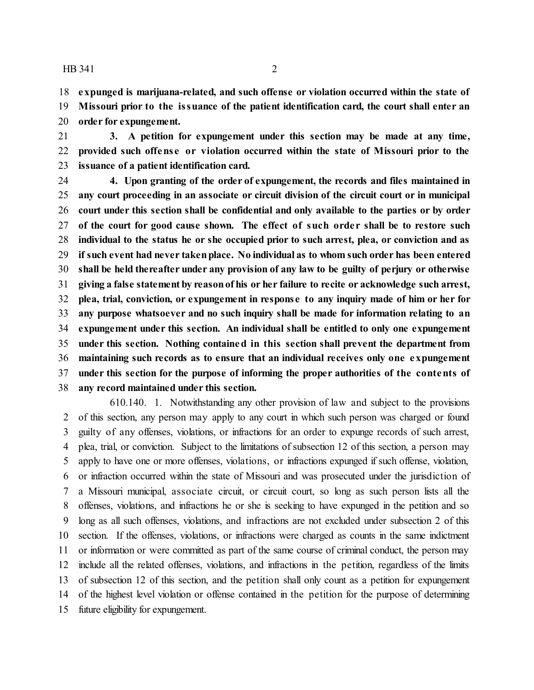**expunged is marijuana-related, and such offense or violation occurred within the state of**

 **Missouri prior to the issuance of the patient identification card, the court shall enter an order for expungement.**

 **3. A petition for expungement under this section may be made at any time, provided such offens e or violation occurred within the state of Missouri prior to the issuance of a patient identification card.**

 **4. Upon granting of the order of expungement, the records and files maintained in any court proceeding in an associate or circuit division of the circuit court or in municipal court under this section shall be confidential and only available to the parties or by order of the court for good cause shown. The effect of such orde r shall be to restore such individual to the status he or she occupied prior to such arrest, plea, or conviction and as if such event had never takenplace. No individual as to whom such order has been entered shall be held thereafter under any provision of any law to be guilty of perjury or otherwise giving a false statement by reasonof his or her failure to recite or acknowledge such arrest, plea, trial, conviction, or expungement in response to any inquiry made of him or her for any purpose whatsoever and no such inquiry shall be made for information relating to an expungement under this section. An individual shall be entitled to only one expungement under this section. Nothing contained in this section shall prevent the department from maintaining such records as to ensure that an individual receives only one expungement under this section for the purpose of informing the proper authorities of the contents of any record maintained under this section.**

610.140. 1. Notwithstanding any other provision of law and subject to the provisions of this section, any person may apply to any court in which such person was charged or found guilty of any offenses, violations, or infractions for an order to expunge records of such arrest, plea, trial, or conviction. Subject to the limitations of subsection 12 of this section, a person may apply to have one or more offenses, violations, or infractions expunged if such offense, violation, or infraction occurred within the state of Missouri and was prosecuted under the jurisdiction of a Missouri municipal, associate circuit, or circuit court, so long as such person lists all the offenses, violations, and infractions he or she is seeking to have expunged in the petition and so long as all such offenses, violations, and infractions are not excluded under subsection 2 of this section. If the offenses, violations, or infractions were charged as counts in the same indictment or information or were committed as part of the same course of criminal conduct, the person may include all the related offenses, violations, and infractions in the petition, regardless of the limits of subsection 12 of this section, and the petition shall only count as a petition for expungement of the highest level violation or offense contained in the petition for the purpose of determining future eligibility for expungement.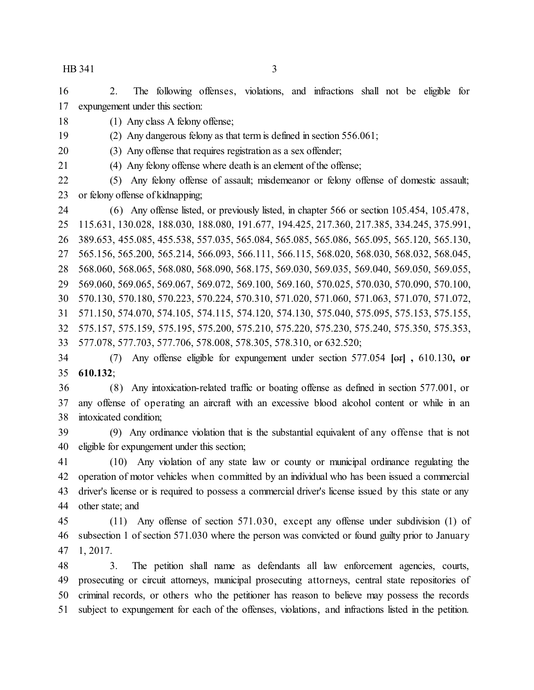2. The following offenses, violations, and infractions shall not be eligible for expungement under this section:

(1) Any class A felony offense;

(2) Any dangerous felony as that term is defined in section 556.061;

(3) Any offense that requires registration as a sex offender;

(4) Any felony offense where death is an element of the offense;

 (5) Any felony offense of assault; misdemeanor or felony offense of domestic assault; or felony offense of kidnapping;

 (6) Any offense listed, or previously listed, in chapter 566 or section 105.454, 105.478, 115.631, 130.028, 188.030, 188.080, 191.677, 194.425, 217.360, 217.385, 334.245, 375.991, 389.653, 455.085, 455.538, 557.035, 565.084, 565.085, 565.086, 565.095, 565.120, 565.130, 565.156, 565.200, 565.214, 566.093, 566.111, 566.115, 568.020, 568.030, 568.032, 568.045, 568.060, 568.065, 568.080, 568.090, 568.175, 569.030, 569.035, 569.040, 569.050, 569.055, 569.060, 569.065, 569.067, 569.072, 569.100, 569.160, 570.025, 570.030, 570.090, 570.100, 570.130, 570.180, 570.223, 570.224, 570.310, 571.020, 571.060, 571.063, 571.070, 571.072, 571.150, 574.070, 574.105, 574.115, 574.120, 574.130, 575.040, 575.095, 575.153, 575.155, 575.157, 575.159, 575.195, 575.200, 575.210, 575.220, 575.230, 575.240, 575.350, 575.353, 577.078, 577.703, 577.706, 578.008, 578.305, 578.310, or 632.520;

 (7) Any offense eligible for expungement under section 577.054 **[**or**] ,** 610.130**, or 610.132**;

 (8) Any intoxication-related traffic or boating offense as defined in section 577.001, or any offense of operating an aircraft with an excessive blood alcohol content or while in an intoxicated condition;

 (9) Any ordinance violation that is the substantial equivalent of any offense that is not eligible for expungement under this section;

 (10) Any violation of any state law or county or municipal ordinance regulating the operation of motor vehicles when committed by an individual who has been issued a commercial driver's license or is required to possess a commercial driver's license issued by this state or any other state; and

 (11) Any offense of section 571.030, except any offense under subdivision (1) of subsection 1 of section 571.030 where the person was convicted or found guilty prior to January 1, 2017.

 3. The petition shall name as defendants all law enforcement agencies, courts, prosecuting or circuit attorneys, municipal prosecuting attorneys, central state repositories of criminal records, or others who the petitioner has reason to believe may possess the records subject to expungement for each of the offenses, violations, and infractions listed in the petition.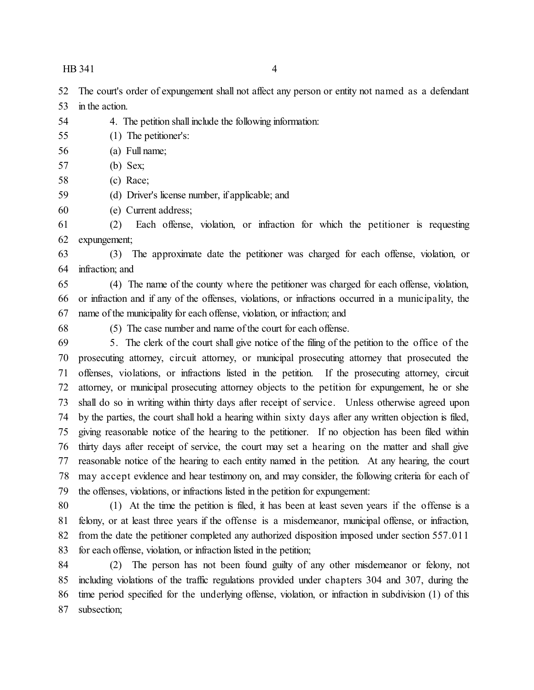The court's order of expungement shall not affect any person or entity not named as a defendant in the action.

- 4. The petition shall include the following information:
- (1) The petitioner's:
- (a) Full name;
- (b) Sex;
- (c) Race;
- (d) Driver's license number, if applicable; and
- (e) Current address;

 (2) Each offense, violation, or infraction for which the petitioner is requesting expungement;

 (3) The approximate date the petitioner was charged for each offense, violation, or infraction; and

 (4) The name of the county where the petitioner was charged for each offense, violation, or infraction and if any of the offenses, violations, or infractions occurred in a municipality, the name of the municipality for each offense, violation, or infraction; and

(5) The case number and name of the court for each offense.

 5. The clerk of the court shall give notice of the filing of the petition to the office of the prosecuting attorney, circuit attorney, or municipal prosecuting attorney that prosecuted the offenses, violations, or infractions listed in the petition. If the prosecuting attorney, circuit attorney, or municipal prosecuting attorney objects to the petition for expungement, he or she shall do so in writing within thirty days after receipt of service. Unless otherwise agreed upon by the parties, the court shall hold a hearing within sixty days after any written objection is filed, giving reasonable notice of the hearing to the petitioner. If no objection has been filed within thirty days after receipt of service, the court may set a hearing on the matter and shall give reasonable notice of the hearing to each entity named in the petition. At any hearing, the court may accept evidence and hear testimony on, and may consider, the following criteria for each of the offenses, violations, or infractions listed in the petition for expungement:

 (1) At the time the petition is filed, it has been at least seven years if the offense is a felony, or at least three years if the offense is a misdemeanor, municipal offense, or infraction, from the date the petitioner completed any authorized disposition imposed under section 557.011 for each offense, violation, or infraction listed in the petition;

 (2) The person has not been found guilty of any other misdemeanor or felony, not including violations of the traffic regulations provided under chapters 304 and 307, during the time period specified for the underlying offense, violation, or infraction in subdivision (1) of this subsection;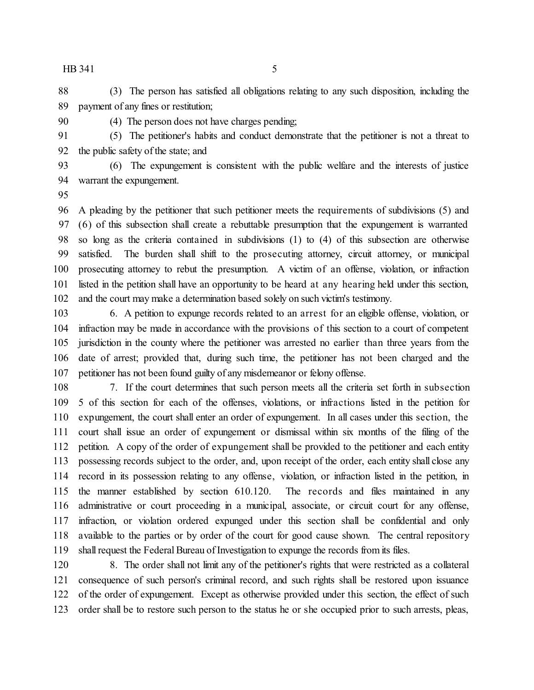(3) The person has satisfied all obligations relating to any such disposition, including the payment of any fines or restitution;

(4) The person does not have charges pending;

 (5) The petitioner's habits and conduct demonstrate that the petitioner is not a threat to the public safety of the state; and

 (6) The expungement is consistent with the public welfare and the interests of justice warrant the expungement.

 A pleading by the petitioner that such petitioner meets the requirements of subdivisions (5) and (6) of this subsection shall create a rebuttable presumption that the expungement is warranted so long as the criteria contained in subdivisions (1) to (4) of this subsection are otherwise satisfied. The burden shall shift to the prosecuting attorney, circuit attorney, or municipal prosecuting attorney to rebut the presumption. A victim of an offense, violation, or infraction listed in the petition shall have an opportunity to be heard at any hearing held under this section, and the court may make a determination based solely on such victim's testimony.

 6. A petition to expunge records related to an arrest for an eligible offense, violation, or infraction may be made in accordance with the provisions of this section to a court of competent jurisdiction in the county where the petitioner was arrested no earlier than three years from the date of arrest; provided that, during such time, the petitioner has not been charged and the petitioner has not been found guilty of any misdemeanor or felony offense.

 7. If the court determines that such person meets all the criteria set forth in subsection 5 of this section for each of the offenses, violations, or infractions listed in the petition for expungement, the court shall enter an order of expungement. In all cases under this section, the court shall issue an order of expungement or dismissal within six months of the filing of the petition. A copy of the order of expungement shall be provided to the petitioner and each entity possessing records subject to the order, and, upon receipt of the order, each entity shall close any record in its possession relating to any offense, violation, or infraction listed in the petition, in the manner established by section 610.120. The records and files maintained in any administrative or court proceeding in a municipal, associate, or circuit court for any offense, infraction, or violation ordered expunged under this section shall be confidential and only available to the parties or by order of the court for good cause shown. The central repository shall request the Federal Bureau of Investigation to expunge the records from its files.

 8. The order shall not limit any of the petitioner's rights that were restricted as a collateral consequence of such person's criminal record, and such rights shall be restored upon issuance of the order of expungement. Except as otherwise provided under this section, the effect of such order shall be to restore such person to the status he or she occupied prior to such arrests, pleas,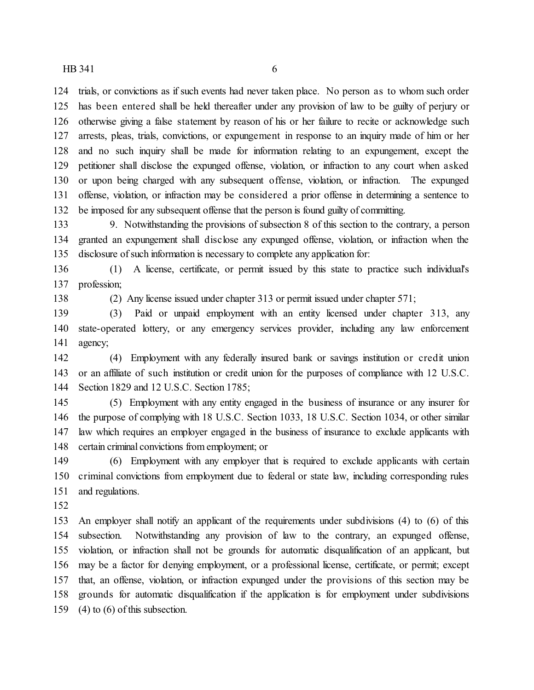trials, or convictions as if such events had never taken place. No person as to whom such order has been entered shall be held thereafter under any provision of law to be guilty of perjury or otherwise giving a false statement by reason of his or her failure to recite or acknowledge such arrests, pleas, trials, convictions, or expungement in response to an inquiry made of him or her and no such inquiry shall be made for information relating to an expungement, except the petitioner shall disclose the expunged offense, violation, or infraction to any court when asked or upon being charged with any subsequent offense, violation, or infraction. The expunged offense, violation, or infraction may be considered a prior offense in determining a sentence to be imposed for any subsequent offense that the person is found guilty of committing.

 9. Notwithstanding the provisions of subsection 8 of this section to the contrary, a person granted an expungement shall disclose any expunged offense, violation, or infraction when the disclosure of such information is necessary to complete any application for:

 (1) A license, certificate, or permit issued by this state to practice such individual's profession;

(2) Any license issued under chapter 313 or permit issued under chapter 571;

 (3) Paid or unpaid employment with an entity licensed under chapter 313, any state-operated lottery, or any emergency services provider, including any law enforcement agency;

 (4) Employment with any federally insured bank or savings institution or credit union or an affiliate of such institution or credit union for the purposes of compliance with 12 U.S.C. Section 1829 and 12 U.S.C. Section 1785;

 (5) Employment with any entity engaged in the business of insurance or any insurer for the purpose of complying with 18 U.S.C. Section 1033, 18 U.S.C. Section 1034, or other similar law which requires an employer engaged in the business of insurance to exclude applicants with certain criminal convictions from employment; or

 (6) Employment with any employer that is required to exclude applicants with certain criminal convictions from employment due to federal or state law, including corresponding rules and regulations.

 An employer shall notify an applicant of the requirements under subdivisions (4) to (6) of this subsection. Notwithstanding any provision of law to the contrary, an expunged offense, violation, or infraction shall not be grounds for automatic disqualification of an applicant, but may be a factor for denying employment, or a professional license, certificate, or permit; except that, an offense, violation, or infraction expunged under the provisions of this section may be grounds for automatic disqualification if the application is for employment under subdivisions (4) to (6) of this subsection.